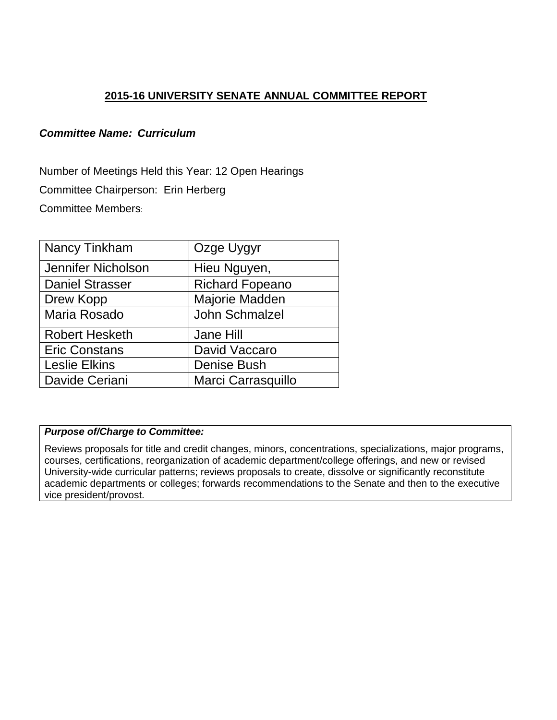## **2015-16 UNIVERSITY SENATE ANNUAL COMMITTEE REPORT**

## *Committee Name: Curriculum*

Number of Meetings Held this Year: 12 Open Hearings Committee Chairperson: Erin Herberg Committee Members:

| Nancy Tinkham          | Ozge Uygyr             |
|------------------------|------------------------|
| Jennifer Nicholson     | Hieu Nguyen,           |
| <b>Daniel Strasser</b> | <b>Richard Fopeano</b> |
| Drew Kopp              | Majorie Madden         |
| Maria Rosado           | <b>John Schmalzel</b>  |
| <b>Robert Hesketh</b>  | Jane Hill              |
| <b>Eric Constans</b>   | David Vaccaro          |
| <b>Leslie Elkins</b>   | <b>Denise Bush</b>     |
| Davide Ceriani         | Marci Carrasquillo     |

## *Purpose of/Charge to Committee:*

Reviews proposals for title and credit changes, minors, concentrations, specializations, major programs, courses, certifications, reorganization of academic department/college offerings, and new or revised University-wide curricular patterns; reviews proposals to create, dissolve or significantly reconstitute academic departments or colleges; forwards recommendations to the Senate and then to the executive vice president/provost.